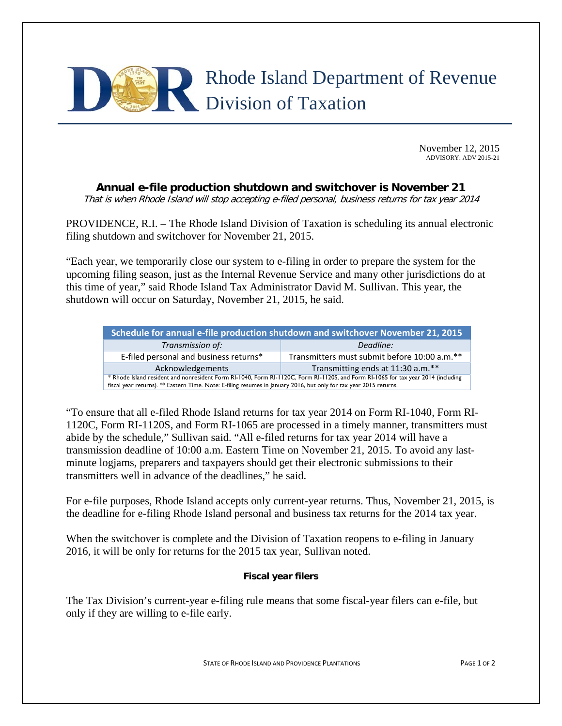

November 12, 2015 ADVISORY: ADV 2015-21

## **Annual e-file production shutdown and switchover is November 21**

That is when Rhode Island will stop accepting e-filed personal, business returns for tax year 2014

PROVIDENCE, R.I. – The Rhode Island Division of Taxation is scheduling its annual electronic filing shutdown and switchover for November 21, 2015.

"Each year, we temporarily close our system to e-filing in order to prepare the system for the upcoming filing season, just as the Internal Revenue Service and many other jurisdictions do at this time of year," said Rhode Island Tax Administrator David M. Sullivan. This year, the shutdown will occur on Saturday, November 21, 2015, he said.

| Schedule for annual e-file production shutdown and switchover November 21, 2015                                                                                                                                                                         |                                              |  |
|---------------------------------------------------------------------------------------------------------------------------------------------------------------------------------------------------------------------------------------------------------|----------------------------------------------|--|
| Transmission of:                                                                                                                                                                                                                                        | Deadline:                                    |  |
| E-filed personal and business returns*                                                                                                                                                                                                                  | Transmitters must submit before 10:00 a.m.** |  |
| Acknowledgements                                                                                                                                                                                                                                        | Transmitting ends at 11:30 a.m.**            |  |
| * Rhode Island resident and nonresident Form RI-1040, Form RI-1120C, Form RI-1120S, and Form RI-1065 for tax year 2014 (including<br>fiscal year returns). ** Eastern Time. Note: E-filing resumes in January 2016, but only for tax year 2015 returns. |                                              |  |

"To ensure that all e-filed Rhode Island returns for tax year 2014 on Form RI-1040, Form RI-1120C, Form RI-1120S, and Form RI-1065 are processed in a timely manner, transmitters must abide by the schedule," Sullivan said. "All e-filed returns for tax year 2014 will have a transmission deadline of 10:00 a.m. Eastern Time on November 21, 2015. To avoid any lastminute logjams, preparers and taxpayers should get their electronic submissions to their transmitters well in advance of the deadlines," he said.

For e-file purposes, Rhode Island accepts only current-year returns. Thus, November 21, 2015, is the deadline for e-filing Rhode Island personal and business tax returns for the 2014 tax year.

When the switchover is complete and the Division of Taxation reopens to e-filing in January 2016, it will be only for returns for the 2015 tax year, Sullivan noted.

## **Fiscal year filers**

The Tax Division's current-year e-filing rule means that some fiscal-year filers can e-file, but only if they are willing to e-file early.